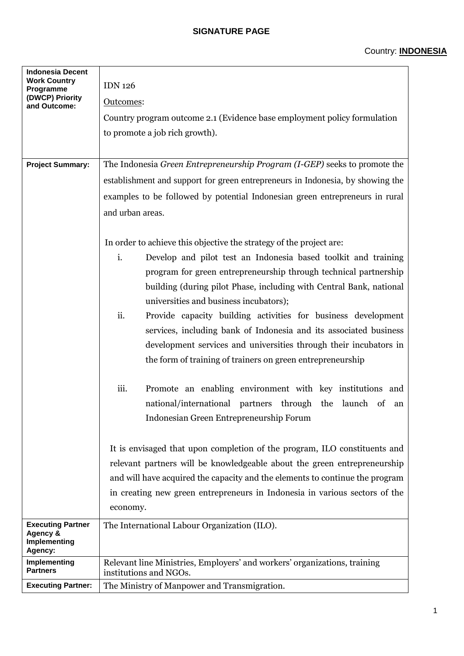## **SIGNATURE PAGE**

| <b>Indonesia Decent</b><br><b>Work Country</b><br>Programme | <b>IDN 126</b>                                                                                      |  |  |  |  |
|-------------------------------------------------------------|-----------------------------------------------------------------------------------------------------|--|--|--|--|
| (DWCP) Priority                                             | Outcomes:                                                                                           |  |  |  |  |
| and Outcome:                                                | Country program outcome 2.1 (Evidence base employment policy formulation                            |  |  |  |  |
|                                                             | to promote a job rich growth).                                                                      |  |  |  |  |
|                                                             |                                                                                                     |  |  |  |  |
| <b>Project Summary:</b>                                     | The Indonesia Green Entrepreneurship Program (I-GEP) seeks to promote the                           |  |  |  |  |
|                                                             |                                                                                                     |  |  |  |  |
|                                                             | establishment and support for green entrepreneurs in Indonesia, by showing the                      |  |  |  |  |
|                                                             | examples to be followed by potential Indonesian green entrepreneurs in rural                        |  |  |  |  |
|                                                             | and urban areas.                                                                                    |  |  |  |  |
|                                                             |                                                                                                     |  |  |  |  |
|                                                             | In order to achieve this objective the strategy of the project are:                                 |  |  |  |  |
|                                                             | i.<br>Develop and pilot test an Indonesia based toolkit and training                                |  |  |  |  |
|                                                             | program for green entrepreneurship through technical partnership                                    |  |  |  |  |
|                                                             | building (during pilot Phase, including with Central Bank, national                                 |  |  |  |  |
|                                                             | universities and business incubators);                                                              |  |  |  |  |
|                                                             | ii.<br>Provide capacity building activities for business development                                |  |  |  |  |
|                                                             | services, including bank of Indonesia and its associated business                                   |  |  |  |  |
|                                                             | development services and universities through their incubators in                                   |  |  |  |  |
|                                                             | the form of training of trainers on green entrepreneurship                                          |  |  |  |  |
|                                                             | iii.<br>Promote an enabling environment with key institutions and                                   |  |  |  |  |
|                                                             | national/international partners through the<br>launch<br>$\circ$ of<br>an                           |  |  |  |  |
|                                                             | Indonesian Green Entrepreneurship Forum                                                             |  |  |  |  |
|                                                             |                                                                                                     |  |  |  |  |
|                                                             | It is envisaged that upon completion of the program, ILO constituents and                           |  |  |  |  |
|                                                             | relevant partners will be knowledgeable about the green entrepreneurship                            |  |  |  |  |
|                                                             | and will have acquired the capacity and the elements to continue the program                        |  |  |  |  |
|                                                             | in creating new green entrepreneurs in Indonesia in various sectors of the<br>economy.              |  |  |  |  |
|                                                             |                                                                                                     |  |  |  |  |
| <b>Executing Partner</b>                                    | The International Labour Organization (ILO).                                                        |  |  |  |  |
| Agency &<br>Implementing<br>Agency:                         |                                                                                                     |  |  |  |  |
| Implementing<br><b>Partners</b>                             | Relevant line Ministries, Employers' and workers' organizations, training<br>institutions and NGOs. |  |  |  |  |
| <b>Executing Partner:</b>                                   | The Ministry of Manpower and Transmigration.                                                        |  |  |  |  |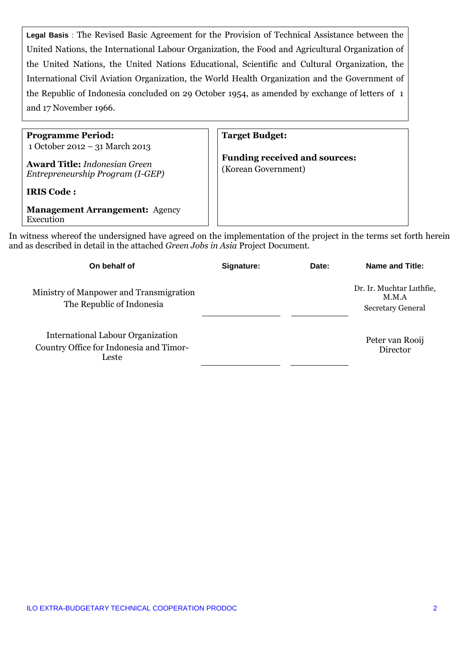**Legal Basis** : The Revised Basic Agreement for the Provision of Technical Assistance between the United Nations, the International Labour Organization, the Food and Agricultural Organization of the United Nations, the United Nations Educational, Scientific and Cultural Organization, the International Civil Aviation Organization, the World Health Organization and the Government of the Republic of Indonesia concluded on 29 October 1954, as amended by exchange of letters of 1 and 17 November 1966.

**Programme Period:** 1 October 2012 – 31 March 2013

**Award Title:** *Indonesian Green Entrepreneurship Program (I-GEP)*

**IRIS Code :** 

**Management Arrangement:** Agency Execution

**Target Budget:**

**Funding received and sources:** (Korean Government)

In witness whereof the undersigned have agreed on the implementation of the project in the terms set forth herein and as described in detail in the attached *Green Jobs in Asia* Project Document.

| On behalf of                                                                          | Signature: | Date: | Name and Title:                                               |
|---------------------------------------------------------------------------------------|------------|-------|---------------------------------------------------------------|
| Ministry of Manpower and Transmigration<br>The Republic of Indonesia                  |            |       | Dr. Ir. Muchtar Luthfie,<br>M.M.A<br><b>Secretary General</b> |
| International Labour Organization<br>Country Office for Indonesia and Timor-<br>Leste |            |       | Peter van Rooij<br>Director                                   |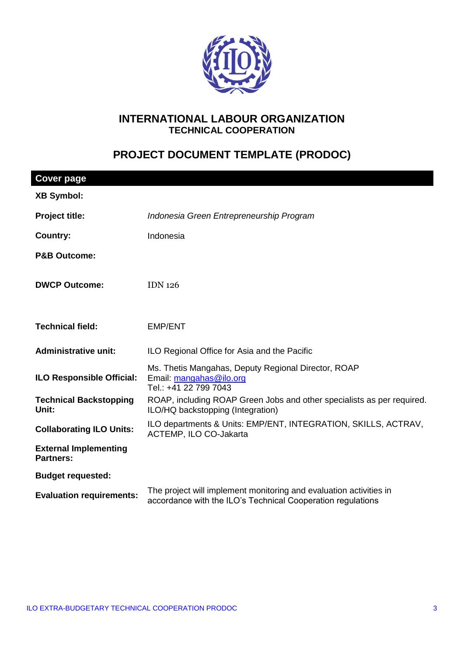

## **INTERNATIONAL LABOUR ORGANIZATION TECHNICAL COOPERATION**

# **PROJECT DOCUMENT TEMPLATE (PRODOC)**

| <b>Cover page</b>                                |                                                                                                                                   |  |
|--------------------------------------------------|-----------------------------------------------------------------------------------------------------------------------------------|--|
| <b>XB Symbol:</b>                                |                                                                                                                                   |  |
| Project title:                                   | Indonesia Green Entrepreneurship Program                                                                                          |  |
| <b>Country:</b>                                  | Indonesia                                                                                                                         |  |
| <b>P&amp;B Outcome:</b>                          |                                                                                                                                   |  |
| <b>DWCP Outcome:</b>                             | <b>IDN 126</b>                                                                                                                    |  |
| <b>Technical field:</b>                          | <b>EMP/ENT</b>                                                                                                                    |  |
| <b>Administrative unit:</b>                      | ILO Regional Office for Asia and the Pacific                                                                                      |  |
| <b>ILO Responsible Official:</b>                 | Ms. Thetis Mangahas, Deputy Regional Director, ROAP<br>Email: mangahas@ilo.org<br>Tel.: +41 22 799 7043                           |  |
| <b>Technical Backstopping</b><br>Unit:           | ROAP, including ROAP Green Jobs and other specialists as per required.<br>ILO/HQ backstopping (Integration)                       |  |
| <b>Collaborating ILO Units:</b>                  | ILO departments & Units: EMP/ENT, INTEGRATION, SKILLS, ACTRAV,<br>ACTEMP, ILO CO-Jakarta                                          |  |
| <b>External Implementing</b><br><b>Partners:</b> |                                                                                                                                   |  |
| <b>Budget requested:</b>                         |                                                                                                                                   |  |
| <b>Evaluation requirements:</b>                  | The project will implement monitoring and evaluation activities in<br>accordance with the ILO's Technical Cooperation regulations |  |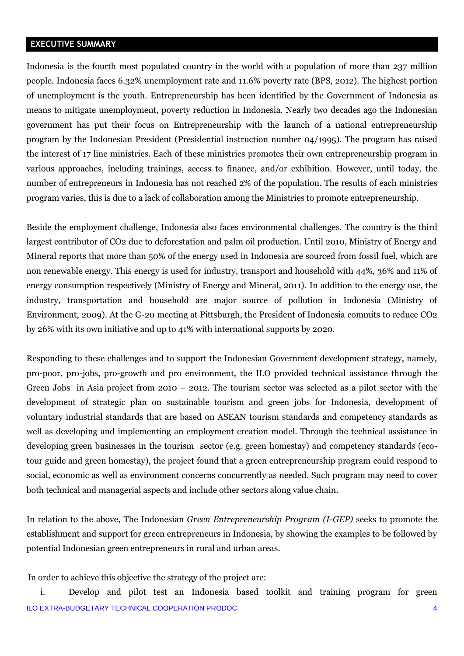## **EXECUTIVE SUMMARY**

Indonesia is the fourth most populated country in the world with a population of more than 237 million people. Indonesia faces 6.32% unemployment rate and 11.6% poverty rate (BPS, 2012). The highest portion of unemployment is the youth. Entrepreneurship has been identified by the Government of Indonesia as means to mitigate unemployment, poverty reduction in Indonesia. Nearly two decades ago the Indonesian government has put their focus on Entrepreneurship with the launch of a national entrepreneurship program by the Indonesian President (Presidential instruction number 04/1995). The program has raised the interest of 17 line ministries. Each of these ministries promotes their own entrepreneurship program in various approaches, including trainings, access to finance, and/or exhibition. However, until today, the number of entrepreneurs in Indonesia has not reached 2% of the population. The results of each ministries program varies, this is due to a lack of collaboration among the Ministries to promote entrepreneurship.

Beside the employment challenge, Indonesia also faces environmental challenges. The country is the third largest contributor of CO2 due to deforestation and palm oil production. Until 2010, Ministry of Energy and Mineral reports that more than 50% of the energy used in Indonesia are sourced from fossil fuel, which are non renewable energy. This energy is used for industry, transport and household with 44%, 36% and 11% of energy consumption respectively (Ministry of Energy and Mineral, 2011). In addition to the energy use, the industry, transportation and household are major source of pollution in Indonesia (Ministry of Environment, 2009). At the G-20 meeting at Pittsburgh, the President of Indonesia commits to reduce CO2 by 26% with its own initiative and up to 41% with international supports by 2020.

Responding to these challenges and to support the Indonesian Government development strategy, namely, pro-poor, pro-jobs, pro-growth and pro environment, the ILO provided technical assistance through the Green Jobs in Asia project from 2010 – 2012. The tourism sector was selected as a pilot sector with the development of strategic plan on sustainable tourism and green jobs for Indonesia, development of voluntary industrial standards that are based on ASEAN tourism standards and competency standards as well as developing and implementing an employment creation model. Through the technical assistance in developing green businesses in the tourism sector (e.g. green homestay) and competency standards (ecotour guide and green homestay), the project found that a green entrepreneurship program could respond to social, economic as well as environment concerns concurrently as needed. Such program may need to cover both technical and managerial aspects and include other sectors along value chain.

In relation to the above, The Indonesian *Green Entrepreneurship Program (I-GEP)* seeks to promote the establishment and support for green entrepreneurs in Indonesia, by showing the examples to be followed by potential Indonesian green entrepreneurs in rural and urban areas.

In order to achieve this objective the strategy of the project are:

ILO EXTRA-BUDGETARY TECHNICAL COOPERATION PRODOC 4 i. Develop and pilot test an Indonesia based toolkit and training program for green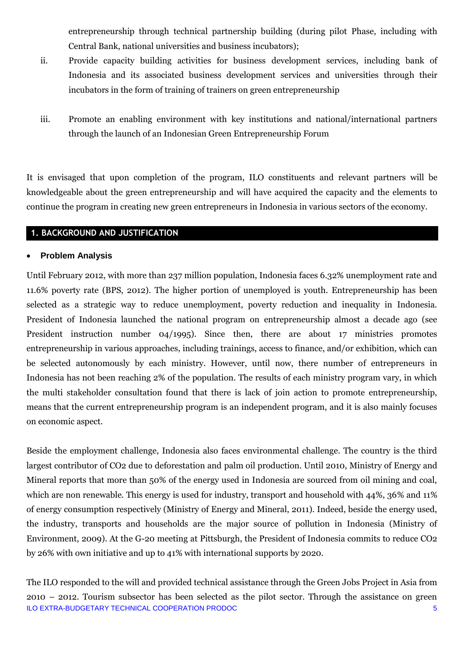entrepreneurship through technical partnership building (during pilot Phase, including with Central Bank, national universities and business incubators);

- ii. Provide capacity building activities for business development services, including bank of Indonesia and its associated business development services and universities through their incubators in the form of training of trainers on green entrepreneurship
- iii. Promote an enabling environment with key institutions and national/international partners through the launch of an Indonesian Green Entrepreneurship Forum

It is envisaged that upon completion of the program, ILO constituents and relevant partners will be knowledgeable about the green entrepreneurship and will have acquired the capacity and the elements to continue the program in creating new green entrepreneurs in Indonesia in various sectors of the economy.

## **1. BACKGROUND AND JUSTIFICATION**

## **Problem Analysis**

Until February 2012, with more than 237 million population, Indonesia faces 6.32% unemployment rate and 11.6% poverty rate (BPS, 2012). The higher portion of unemployed is youth. Entrepreneurship has been selected as a strategic way to reduce unemployment, poverty reduction and inequality in Indonesia. President of Indonesia launched the national program on entrepreneurship almost a decade ago (see President instruction number 04/1995). Since then, there are about 17 ministries promotes entrepreneurship in various approaches, including trainings, access to finance, and/or exhibition, which can be selected autonomously by each ministry. However, until now, there number of entrepreneurs in Indonesia has not been reaching 2% of the population. The results of each ministry program vary, in which the multi stakeholder consultation found that there is lack of join action to promote entrepreneurship, means that the current entrepreneurship program is an independent program, and it is also mainly focuses on economic aspect.

Beside the employment challenge, Indonesia also faces environmental challenge. The country is the third largest contributor of CO2 due to deforestation and palm oil production. Until 2010, Ministry of Energy and Mineral reports that more than 50% of the energy used in Indonesia are sourced from oil mining and coal, which are non renewable. This energy is used for industry, transport and household with 44%, 36% and 11% of energy consumption respectively (Ministry of Energy and Mineral, 2011). Indeed, beside the energy used, the industry, transports and households are the major source of pollution in Indonesia (Ministry of Environment, 2009). At the G-20 meeting at Pittsburgh, the President of Indonesia commits to reduce CO2 by 26% with own initiative and up to 41% with international supports by 2020.

ILO EXTRA-BUDGETARY TECHNICAL COOPERATION PRODOC 5 The ILO responded to the will and provided technical assistance through the Green Jobs Project in Asia from 2010 – 2012. Tourism subsector has been selected as the pilot sector. Through the assistance on green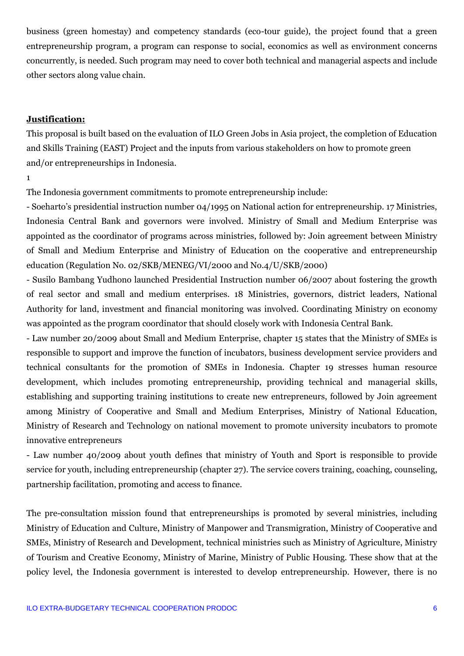business (green homestay) and competency standards (eco-tour guide), the project found that a green entrepreneurship program, a program can response to social, economics as well as environment concerns concurrently, is needed. Such program may need to cover both technical and managerial aspects and include other sectors along value chain.

#### **Justification:**

This proposal is built based on the evaluation of ILO Green Jobs in Asia project, the completion of Education and Skills Training (EAST) Project and the inputs from various stakeholders on how to promote green and/or entrepreneurships in Indonesia.

1

The Indonesia government commitments to promote entrepreneurship include:

- Soeharto's presidential instruction number 04/1995 on National action for entrepreneurship. 17 Ministries, Indonesia Central Bank and governors were involved. Ministry of Small and Medium Enterprise was appointed as the coordinator of programs across ministries, followed by: Join agreement between Ministry of Small and Medium Enterprise and Ministry of Education on the cooperative and entrepreneurship education (Regulation No. 02/SKB/MENEG/VI/2000 and No.4/U/SKB/2000)

- Susilo Bambang Yudhono launched Presidential Instruction number 06/2007 about fostering the growth of real sector and small and medium enterprises. 18 Ministries, governors, district leaders, National Authority for land, investment and financial monitoring was involved. Coordinating Ministry on economy was appointed as the program coordinator that should closely work with Indonesia Central Bank.

- Law number 20/2009 about Small and Medium Enterprise, chapter 15 states that the Ministry of SMEs is responsible to support and improve the function of incubators, business development service providers and technical consultants for the promotion of SMEs in Indonesia. Chapter 19 stresses human resource development, which includes promoting entrepreneurship, providing technical and managerial skills, establishing and supporting training institutions to create new entrepreneurs, followed by Join agreement among Ministry of Cooperative and Small and Medium Enterprises, Ministry of National Education, Ministry of Research and Technology on national movement to promote university incubators to promote innovative entrepreneurs

- Law number 40/2009 about youth defines that ministry of Youth and Sport is responsible to provide service for youth, including entrepreneurship (chapter 27). The service covers training, coaching, counseling, partnership facilitation, promoting and access to finance.

The pre-consultation mission found that entrepreneurships is promoted by several ministries, including Ministry of Education and Culture, Ministry of Manpower and Transmigration, Ministry of Cooperative and SMEs, Ministry of Research and Development, technical ministries such as Ministry of Agriculture, Ministry of Tourism and Creative Economy, Ministry of Marine, Ministry of Public Housing. These show that at the policy level, the Indonesia government is interested to develop entrepreneurship. However, there is no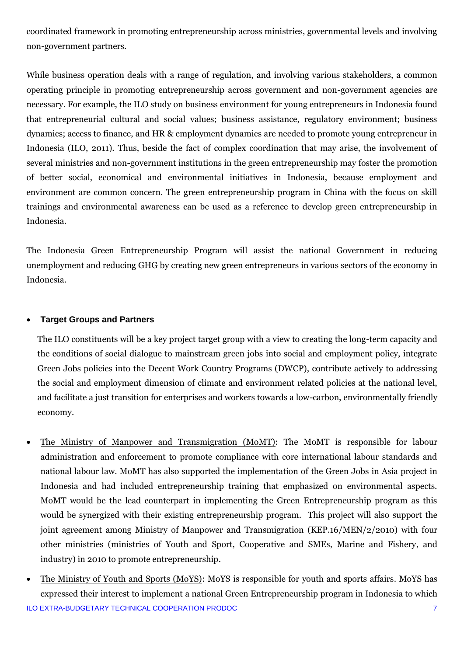coordinated framework in promoting entrepreneurship across ministries, governmental levels and involving non-government partners.

While business operation deals with a range of regulation, and involving various stakeholders, a common operating principle in promoting entrepreneurship across government and non-government agencies are necessary. For example, the ILO study on business environment for young entrepreneurs in Indonesia found that entrepreneurial cultural and social values; business assistance, regulatory environment; business dynamics; access to finance, and HR & employment dynamics are needed to promote young entrepreneur in Indonesia (ILO, 2011). Thus, beside the fact of complex coordination that may arise, the involvement of several ministries and non-government institutions in the green entrepreneurship may foster the promotion of better social, economical and environmental initiatives in Indonesia, because employment and environment are common concern. The green entrepreneurship program in China with the focus on skill trainings and environmental awareness can be used as a reference to develop green entrepreneurship in Indonesia.

The Indonesia Green Entrepreneurship Program will assist the national Government in reducing unemployment and reducing GHG by creating new green entrepreneurs in various sectors of the economy in Indonesia.

## **Target Groups and Partners**

The ILO constituents will be a key project target group with a view to creating the long-term capacity and the conditions of social dialogue to mainstream green jobs into social and employment policy, integrate Green Jobs policies into the Decent Work Country Programs (DWCP), contribute actively to addressing the social and employment dimension of climate and environment related policies at the national level, and facilitate a just transition for enterprises and workers towards a low-carbon, environmentally friendly economy.

- The Ministry of Manpower and Transmigration (MoMT): The MoMT is responsible for labour administration and enforcement to promote compliance with core international labour standards and national labour law. MoMT has also supported the implementation of the Green Jobs in Asia project in Indonesia and had included entrepreneurship training that emphasized on environmental aspects. MoMT would be the lead counterpart in implementing the Green Entrepreneurship program as this would be synergized with their existing entrepreneurship program. This project will also support the joint agreement among Ministry of Manpower and Transmigration (KEP.16/MEN/2/2010) with four other ministries (ministries of Youth and Sport, Cooperative and SMEs, Marine and Fishery, and industry) in 2010 to promote entrepreneurship.
- ILO EXTRA-BUDGETARY TECHNICAL COOPERATION PRODOC 7 • The Ministry of Youth and Sports (MoYS): MoYS is responsible for youth and sports affairs. MoYS has expressed their interest to implement a national Green Entrepreneurship program in Indonesia to which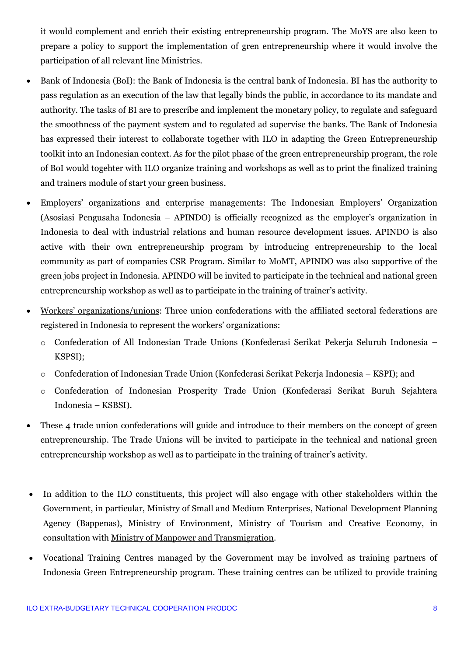it would complement and enrich their existing entrepreneurship program. The MoYS are also keen to prepare a policy to support the implementation of gren entrepreneurship where it would involve the participation of all relevant line Ministries.

- Bank of Indonesia (BoI): the Bank of Indonesia is the central bank of Indonesia. BI has the authority to pass regulation as an execution of the law that legally binds the public, in accordance to its mandate and authority. The tasks of BI are to prescribe and implement the monetary policy, to regulate and safeguard the smoothness of the payment system and to regulated ad supervise the banks. The Bank of Indonesia has expressed their interest to collaborate together with ILO in adapting the Green Entrepreneurship toolkit into an Indonesian context. As for the pilot phase of the green entrepreneurship program, the role of BoI would togehter with ILO organize training and workshops as well as to print the finalized training and trainers module of start your green business.
- Employers' organizations and enterprise managements: The Indonesian Employers' Organization (Asosiasi Pengusaha Indonesia – APINDO) is officially recognized as the employer's organization in Indonesia to deal with industrial relations and human resource development issues. APINDO is also active with their own entrepreneurship program by introducing entrepreneurship to the local community as part of companies CSR Program. Similar to MoMT, APINDO was also supportive of the green jobs project in Indonesia. APINDO will be invited to participate in the technical and national green entrepreneurship workshop as well as to participate in the training of trainer's activity.
- Workers' organizations/unions: Three union confederations with the affiliated sectoral federations are registered in Indonesia to represent the workers' organizations:
	- o Confederation of All Indonesian Trade Unions (Konfederasi Serikat Pekerja Seluruh Indonesia KSPSI);
	- o Confederation of Indonesian Trade Union (Konfederasi Serikat Pekerja Indonesia KSPI); and
	- o Confederation of Indonesian Prosperity Trade Union (Konfederasi Serikat Buruh Sejahtera Indonesia – KSBSI).
- These 4 trade union confederations will guide and introduce to their members on the concept of green entrepreneurship. The Trade Unions will be invited to participate in the technical and national green entrepreneurship workshop as well as to participate in the training of trainer's activity.
- In addition to the ILO constituents, this project will also engage with other stakeholders within the Government, in particular, Ministry of Small and Medium Enterprises, National Development Planning Agency (Bappenas), Ministry of Environment, Ministry of Tourism and Creative Economy, in consultation with Ministry of Manpower and Transmigration.
- Vocational Training Centres managed by the Government may be involved as training partners of Indonesia Green Entrepreneurship program. These training centres can be utilized to provide training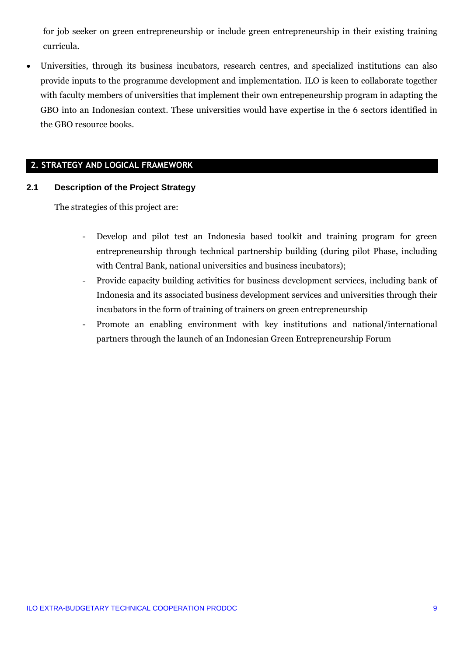for job seeker on green entrepreneurship or include green entrepreneurship in their existing training curricula.

 Universities, through its business incubators, research centres, and specialized institutions can also provide inputs to the programme development and implementation. ILO is keen to collaborate together with faculty members of universities that implement their own entrepeneurship program in adapting the GBO into an Indonesian context. These universities would have expertise in the 6 sectors identified in the GBO resource books.

## **2. STRATEGY AND LOGICAL FRAMEWORK**

#### **2.1 Description of the Project Strategy**

The strategies of this project are:

- Develop and pilot test an Indonesia based toolkit and training program for green entrepreneurship through technical partnership building (during pilot Phase, including with Central Bank, national universities and business incubators);
- Provide capacity building activities for business development services, including bank of Indonesia and its associated business development services and universities through their incubators in the form of training of trainers on green entrepreneurship
- Promote an enabling environment with key institutions and national/international partners through the launch of an Indonesian Green Entrepreneurship Forum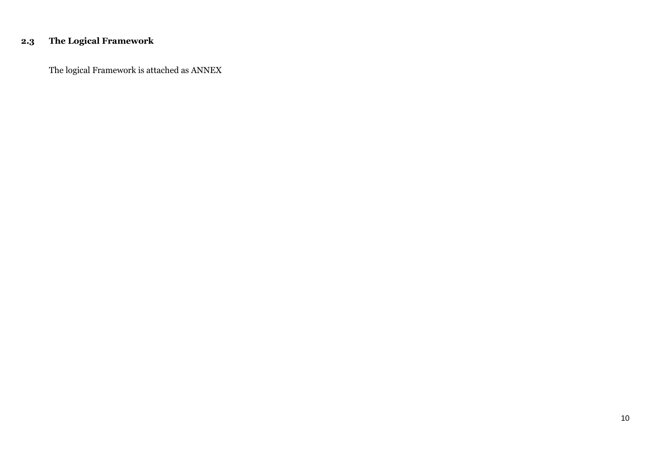# **2.3 The Logical Framework**

The logical Framework is attached as ANNEX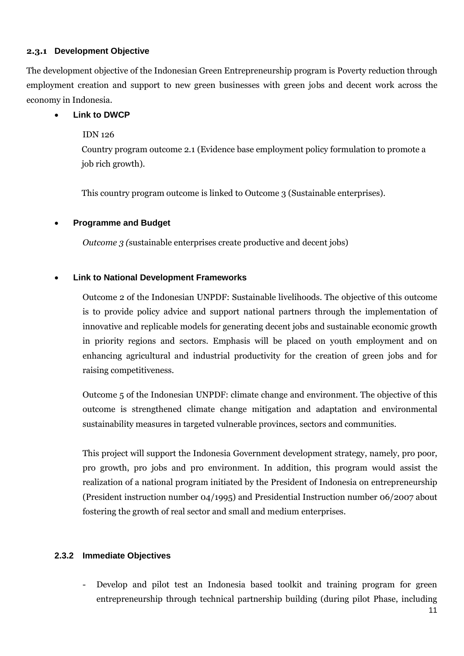## **2.3.1 Development Objective**

The development objective of the Indonesian Green Entrepreneurship program is Poverty reduction through employment creation and support to new green businesses with green jobs and decent work across the economy in Indonesia.

## **Link to DWCP**

## IDN 126

Country program outcome 2.1 (Evidence base employment policy formulation to promote a job rich growth).

This country program outcome is linked to Outcome 3 (Sustainable enterprises).

## **Programme and Budget**

*Outcome 3 (*sustainable enterprises create productive and decent jobs)

## **Link to National Development Frameworks**

Outcome 2 of the Indonesian UNPDF: Sustainable livelihoods. The objective of this outcome is to provide policy advice and support national partners through the implementation of innovative and replicable models for generating decent jobs and sustainable economic growth in priority regions and sectors. Emphasis will be placed on youth employment and on enhancing agricultural and industrial productivity for the creation of green jobs and for raising competitiveness.

Outcome 5 of the Indonesian UNPDF: climate change and environment. The objective of this outcome is strengthened climate change mitigation and adaptation and environmental sustainability measures in targeted vulnerable provinces, sectors and communities.

This project will support the Indonesia Government development strategy, namely, pro poor, pro growth, pro jobs and pro environment. In addition, this program would assist the realization of a national program initiated by the President of Indonesia on entrepreneurship (President instruction number 04/1995) and Presidential Instruction number 06/2007 about fostering the growth of real sector and small and medium enterprises.

## **2.3.2 Immediate Objectives**

- Develop and pilot test an Indonesia based toolkit and training program for green entrepreneurship through technical partnership building (during pilot Phase, including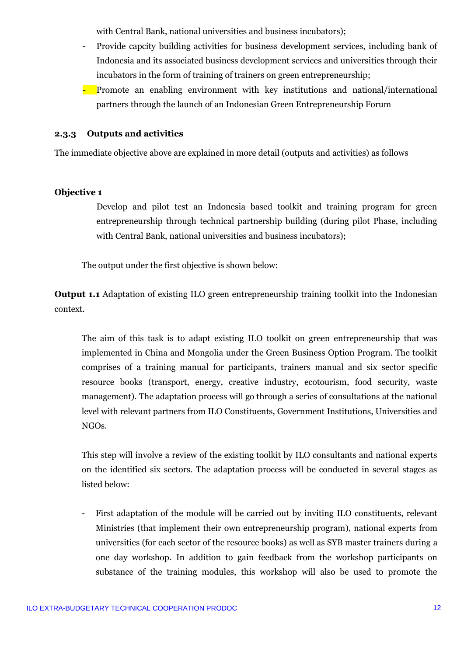with Central Bank, national universities and business incubators);

- Provide capcity building activities for business development services, including bank of Indonesia and its associated business development services and universities through their incubators in the form of training of trainers on green entrepreneurship;
- Promote an enabling environment with key institutions and national/international partners through the launch of an Indonesian Green Entrepreneurship Forum

## **2.3.3 Outputs and activities**

The immediate objective above are explained in more detail (outputs and activities) as follows

#### **Objective 1**

Develop and pilot test an Indonesia based toolkit and training program for green entrepreneurship through technical partnership building (during pilot Phase, including with Central Bank, national universities and business incubators);

The output under the first objective is shown below:

**Output 1.1** Adaptation of existing ILO green entrepreneurship training toolkit into the Indonesian context.

The aim of this task is to adapt existing ILO toolkit on green entrepreneurship that was implemented in China and Mongolia under the Green Business Option Program. The toolkit comprises of a training manual for participants, trainers manual and six sector specific resource books (transport, energy, creative industry, ecotourism, food security, waste management). The adaptation process will go through a series of consultations at the national level with relevant partners from ILO Constituents, Government Institutions, Universities and NGOs.

This step will involve a review of the existing toolkit by ILO consultants and national experts on the identified six sectors. The adaptation process will be conducted in several stages as listed below:

- First adaptation of the module will be carried out by inviting ILO constituents, relevant Ministries (that implement their own entrepreneurship program), national experts from universities (for each sector of the resource books) as well as SYB master trainers during a one day workshop. In addition to gain feedback from the workshop participants on substance of the training modules, this workshop will also be used to promote the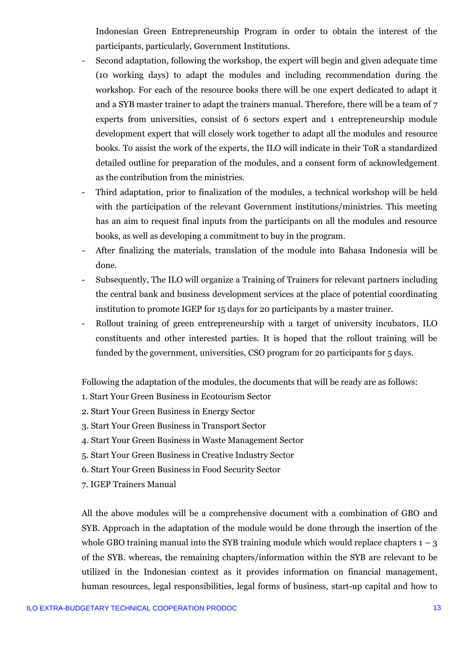Indonesian Green Entrepreneurship Program in order to obtain the interest of the participants, particularly, Government Institutions.

- Second adaptation, following the workshop, the expert will begin and given adequate time (10 working days) to adapt the modules and including recommendation during the workshop. For each of the resource books there will be one expert dedicated to adapt it and a SYB master trainer to adapt the trainers manual. Therefore, there will be a team of 7 experts from universities, consist of 6 sectors expert and 1 entrepreneurship module development expert that will closely work together to adapt all the modules and resource books. To assist the work of the experts, the ILO will indicate in their ToR a standardized detailed outline for preparation of the modules, and a consent form of acknowledgement as the contribution from the ministries.
- Third adaptation, prior to finalization of the modules, a technical workshop will be held with the participation of the relevant Government institutions/ministries. This meeting has an aim to request final inputs from the participants on all the modules and resource books, as well as developing a commitment to buy in the program.
- After finalizing the materials, translation of the module into Bahasa Indonesia will be done.
- Subsequently, The ILO will organize a Training of Trainers for relevant partners including the central bank and business development services at the place of potential coordinating institution to promote IGEP for 15 days for 20 participants by a master trainer.
- Rollout training of green entrepreneurship with a target of university incubators, ILO constituents and other interested parties. It is hoped that the rollout training will be funded by the government, universities, CSO program for 20 participants for 5 days.

Following the adaptation of the modules, the documents that will be ready are as follows:

- 1. Start Your Green Business in Ecotourism Sector
- 2. Start Your Green Business in Energy Sector
- 3. Start Your Green Business in Transport Sector
- 4. Start Your Green Business in Waste Management Sector
- 5. Start Your Green Business in Creative Industry Sector
- 6. Start Your Green Business in Food Security Sector
- 7. IGEP Trainers Manual

All the above modules will be a comprehensive document with a combination of GBO and SYB. Approach in the adaptation of the module would be done through the insertion of the whole GBO training manual into the SYB training module which would replace chapters  $1 - 3$ of the SYB. whereas, the remaining chapters/information within the SYB are relevant to be utilized in the Indonesian context as it provides information on financial management, human resources, legal responsibilities, legal forms of business, start-up capital and how to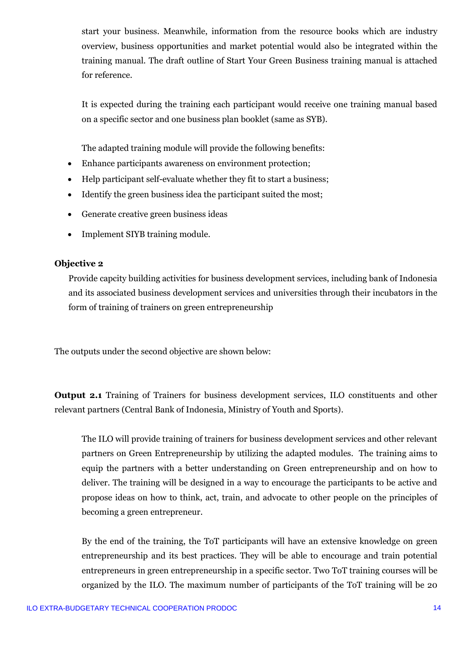start your business. Meanwhile, information from the resource books which are industry overview, business opportunities and market potential would also be integrated within the training manual. The draft outline of Start Your Green Business training manual is attached for reference.

It is expected during the training each participant would receive one training manual based on a specific sector and one business plan booklet (same as SYB).

The adapted training module will provide the following benefits:

- Enhance participants awareness on environment protection;
- Help participant self-evaluate whether they fit to start a business;
- Identify the green business idea the participant suited the most;
- Generate creative green business ideas
- Implement SIYB training module.

## **Objective 2**

Provide capcity building activities for business development services, including bank of Indonesia and its associated business development services and universities through their incubators in the form of training of trainers on green entrepreneurship

The outputs under the second objective are shown below:

**Output 2.1** Training of Trainers for business development services, ILO constituents and other relevant partners (Central Bank of Indonesia, Ministry of Youth and Sports).

The ILO will provide training of trainers for business development services and other relevant partners on Green Entrepreneurship by utilizing the adapted modules. The training aims to equip the partners with a better understanding on Green entrepreneurship and on how to deliver. The training will be designed in a way to encourage the participants to be active and propose ideas on how to think, act, train, and advocate to other people on the principles of becoming a green entrepreneur.

By the end of the training, the ToT participants will have an extensive knowledge on green entrepreneurship and its best practices. They will be able to encourage and train potential entrepreneurs in green entrepreneurship in a specific sector. Two ToT training courses will be organized by the ILO. The maximum number of participants of the ToT training will be 20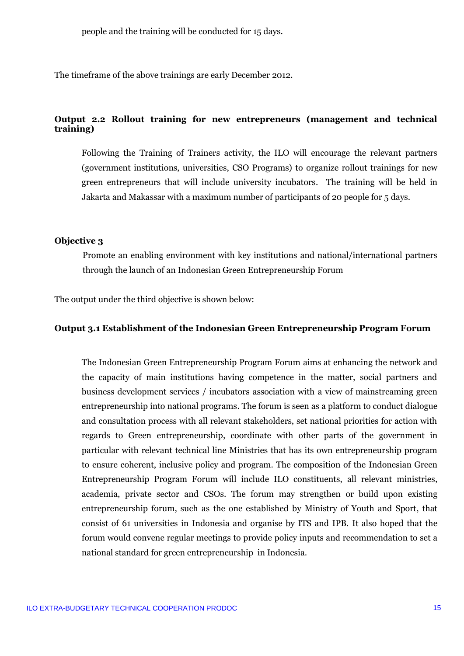people and the training will be conducted for 15 days.

The timeframe of the above trainings are early December 2012.

## **Output 2.2 Rollout training for new entrepreneurs (management and technical training)**

Following the Training of Trainers activity, the ILO will encourage the relevant partners (government institutions, universities, CSO Programs) to organize rollout trainings for new green entrepreneurs that will include university incubators. The training will be held in Jakarta and Makassar with a maximum number of participants of 20 people for 5 days.

#### **Objective 3**

Promote an enabling environment with key institutions and national/international partners through the launch of an Indonesian Green Entrepreneurship Forum

The output under the third objective is shown below:

#### **Output 3.1 Establishment of the Indonesian Green Entrepreneurship Program Forum**

The Indonesian Green Entrepreneurship Program Forum aims at enhancing the network and the capacity of main institutions having competence in the matter, social partners and business development services / incubators association with a view of mainstreaming green entrepreneurship into national programs. The forum is seen as a platform to conduct dialogue and consultation process with all relevant stakeholders, set national priorities for action with regards to Green entrepreneurship, coordinate with other parts of the government in particular with relevant technical line Ministries that has its own entrepreneurship program to ensure coherent, inclusive policy and program. The composition of the Indonesian Green Entrepreneurship Program Forum will include ILO constituents, all relevant ministries, academia, private sector and CSOs. The forum may strengthen or build upon existing entrepreneurship forum, such as the one established by Ministry of Youth and Sport, that consist of 61 universities in Indonesia and organise by ITS and IPB. It also hoped that the forum would convene regular meetings to provide policy inputs and recommendation to set a national standard for green entrepreneurship in Indonesia.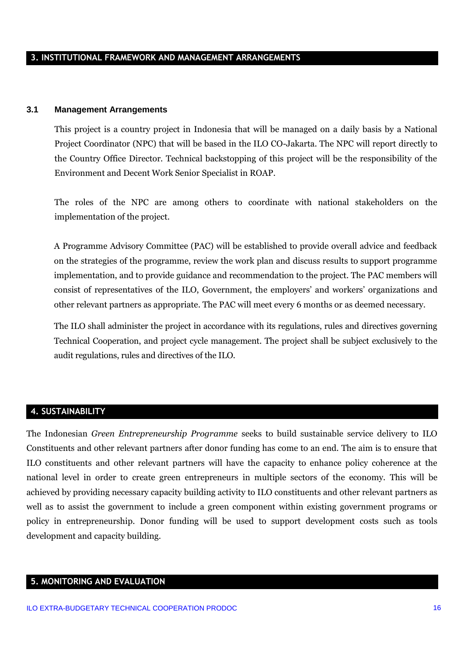### **3. INSTITUTIONAL FRAMEWORK AND MANAGEMENT ARRANGEMENTS**

#### **3.1 Management Arrangements**

This project is a country project in Indonesia that will be managed on a daily basis by a National Project Coordinator (NPC) that will be based in the ILO CO-Jakarta. The NPC will report directly to the Country Office Director. Technical backstopping of this project will be the responsibility of the Environment and Decent Work Senior Specialist in ROAP.

The roles of the NPC are among others to coordinate with national stakeholders on the implementation of the project.

A Programme Advisory Committee (PAC) will be established to provide overall advice and feedback on the strategies of the programme, review the work plan and discuss results to support programme implementation, and to provide guidance and recommendation to the project. The PAC members will consist of representatives of the ILO, Government, the employers' and workers' organizations and other relevant partners as appropriate. The PAC will meet every 6 months or as deemed necessary.

The ILO shall administer the project in accordance with its regulations, rules and directives governing Technical Cooperation, and project cycle management. The project shall be subject exclusively to the audit regulations, rules and directives of the ILO.

#### **4. SUSTAINABILITY**

The Indonesian *Green Entrepreneurship Programme* seeks to build sustainable service delivery to ILO Constituents and other relevant partners after donor funding has come to an end. The aim is to ensure that ILO constituents and other relevant partners will have the capacity to enhance policy coherence at the national level in order to create green entrepreneurs in multiple sectors of the economy. This will be achieved by providing necessary capacity building activity to ILO constituents and other relevant partners as well as to assist the government to include a green component within existing government programs or policy in entrepreneurship. Donor funding will be used to support development costs such as tools development and capacity building.

#### **5. MONITORING AND EVALUATION**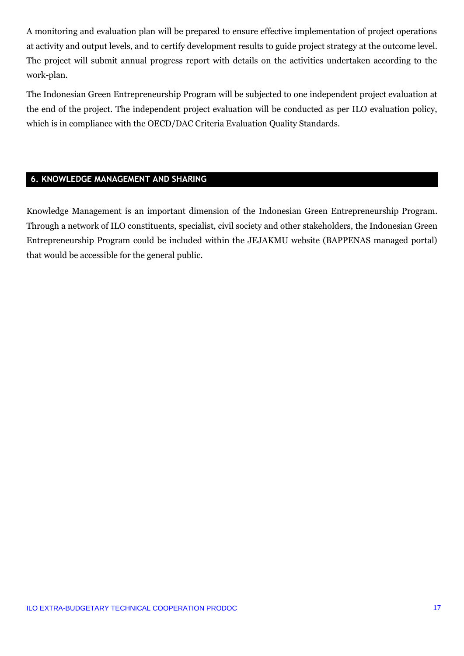A monitoring and evaluation plan will be prepared to ensure effective implementation of project operations at activity and output levels, and to certify development results to guide project strategy at the outcome level. The project will submit annual progress report with details on the activities undertaken according to the work-plan.

The Indonesian Green Entrepreneurship Program will be subjected to one independent project evaluation at the end of the project. The independent project evaluation will be conducted as per ILO evaluation policy, which is in compliance with the OECD/DAC Criteria Evaluation Quality Standards.

## **6. KNOWLEDGE MANAGEMENT AND SHARING**

Knowledge Management is an important dimension of the Indonesian Green Entrepreneurship Program. Through a network of ILO constituents, specialist, civil society and other stakeholders, the Indonesian Green Entrepreneurship Program could be included within the JEJAKMU website (BAPPENAS managed portal) that would be accessible for the general public.